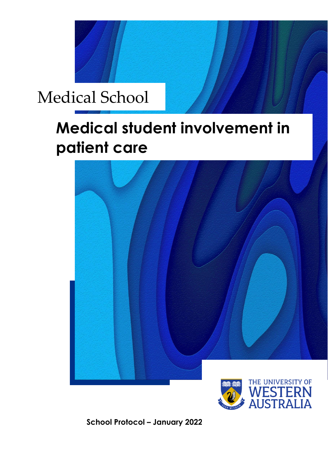

# **Medical student involvement in patient care**





**School Protocol – January 2022**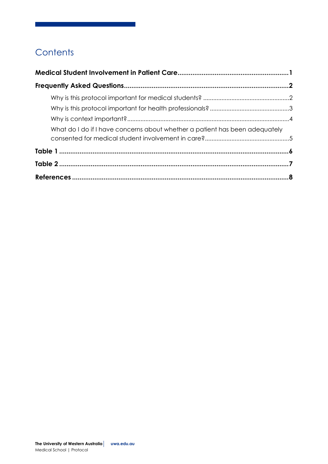## **Contents**

| What do I do if I have concerns about whether a patient has been adequately |  |
|-----------------------------------------------------------------------------|--|
|                                                                             |  |
|                                                                             |  |
|                                                                             |  |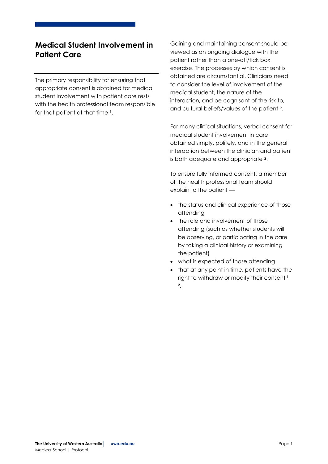## <span id="page-2-0"></span>**Medical Student Involvement in Patient Care**

The primary responsibility for ensuring that appropriate consent is obtained for medical student involvement with patient care rests with the health professional team responsible for that patient at that time <sup>1</sup>.

Gaining and maintaining consent should be viewed as an ongoing dialogue with the patient rather than a one-off/tick box exercise. The processes by which consent is obtained are circumstantial. Clinicians need to consider the level of involvement of the medical student, the nature of the interaction, and be cognisant of the risk to, and cultural beliefs/values of the patient <sup>2</sup>.

For many clinical situations, verbal consent for medical student involvement in care obtained simply, politely, and in the general interaction between the clinician and patient is both adequate and appropriate **<sup>2</sup>**.

To ensure fully informed consent, a member of the health professional team should explain to the patient —

- the status and clinical experience of those attending
- the role and involvement of those attending (such as whether students will be observing, or participating in the care by taking a clinical history or examining the patient)
- what is expected of those attending
- that at any point in time, patients have the right to withdraw or modify their consent **1, 2.**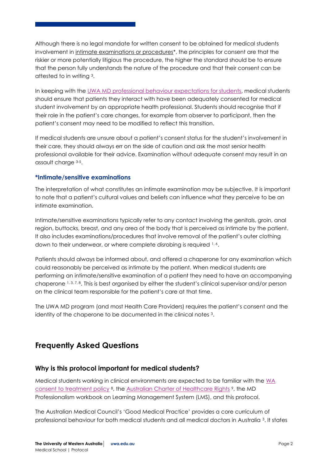Although there is no legal mandate for written consent to be obtained for medical students involvement in intimate examinations or procedures<sup>\*</sup>, the principles for consent are that the riskier or more potentially litigious the procedure, the higher the standard should be to ensure that the person fully understands the nature of the procedure and that their consent can be attested to in writing <sup>3</sup>.

In keeping with th[e UWA MD professional behaviour expectations for students,](https://www.student.uwa.edu.au/__data/assets/pdf_file/0018/3032550/MD-Professional-Behaviour-Assessment-Procedure-2019_final2.pdf) medical students should ensure that patients they interact with have been adequately consented for medical student involvement by an appropriate health professional. Students should recognise that if their role in the patient's care changes, for example from observer to participant, then the patient's consent may need to be modified to reflect this transition.

If medical students are unsure about a patient's consent status for the student's involvement in their care, they should always err on the side of caution and ask the most senior health professional available for their advice. Examination without adequate consent may result in an assault charge 3-5.

#### **\*Intimate/sensitive examinations**

The interpretation of what constitutes an intimate examination may be subjective. It is important to note that a patient's cultural values and beliefs can influence what they perceive to be an intimate examination.

Intimate/sensitive examinations typically refer to any contact involving the genitals, groin, anal region, buttocks, breast, and any area of the body that is perceived as intimate by the patient. It also includes examinations/procedures that involve removal of the patient's outer clothing down to their underwear, or where complete disrobing is required 1.6.

Patients should always be informed about, and offered a chaperone for any examination which could reasonably be perceived as intimate by the patient. When medical students are performing an intimate/sensitive examination of a patient they need to have an accompanying chaperone 1, 3, 7, 8. This is best organised by either the student's clinical supervisor and/or person on the clinical team responsible for the patient's care at that time.

The UWA MD program (and most Health Care Providers) requires the patient's consent and the identity of the chaperone to be documented in the clinical notes 3.

## <span id="page-3-0"></span>**Frequently Asked Questions**

#### <span id="page-3-1"></span>**Why is this protocol important for medical students?**

Medical students working in clinical environments are expected to be familiar with the WA [consent to treatment policy](https://ww2.health.wa.gov.au/-/media/Files/Corporate/Policy-Frameworks/Clinical-Governance-Safety-and-Quality/Policy/WA-Health-Consent-to-Treatment-Policy/OD657-WA-Health-Consent-to-Treatment-Policy.pdf) <sup>8</sup>, the [Australian Charter of Healthcare Rights](https://healthywa.wa.gov.au/Articles/F_I/Going-to-hospital/Your-rights-and-responsibilities-as-a-patient) <sup>9</sup>, the MD Professionalism workbook on Learning Management System (LMS), and this protocol.

The Australian Medical Council's 'Good Medical Practice' provides a core curriculum of professional behaviour for both medical students and all medical doctors in Australia <sup>3</sup>. It states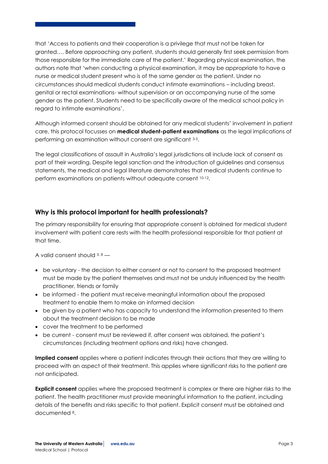that 'Access to patients and their cooperation is a privilege that must not be taken for granted…. Before approaching any patient, students should generally first seek permission from those responsible for the immediate care of the patient.' Regarding physical examination, the authors note that 'when conducting a physical examination, it may be appropriate to have a nurse or medical student present who is of the same gender as the patient. Under no circumstances should medical students conduct intimate examinations – including breast, genital or rectal examinations- without supervision or an accompanying nurse of the same gender as the patient. Students need to be specifically aware of the medical school policy in regard to intimate examinations'.

Although informed consent should be obtained for any medical students' involvement in patient care, this protocol focusses on **medical student-patient examinations** as the legal implications of performing an examination without consent are significant 3-5.

The legal classifications of assault in Australia's legal jurisdictions all include lack of consent as part of their wording. Despite legal sanction and the introduction of guidelines and consensus statements, the medical and legal literature demonstrates that medical students continue to perform examinations on patients without adequate consent 10-12.

#### <span id="page-4-0"></span>**Why is this protocol important for health professionals?**

The primary responsibility for ensuring that appropriate consent is obtained for medical student involvement with patient care rests with the health professional responsible for that patient at that time.

A valid consent should  $3, 8$  —

- be voluntary the decision to either consent or not to consent to the proposed treatment must be made by the patient themselves and must not be unduly influenced by the health practitioner, friends or family
- be informed the patient must receive meaningful information about the proposed treatment to enable them to make an informed decision
- be given by a patient who has capacity to understand the information presented to them about the treatment decision to be made
- cover the treatment to be performed
- be current consent must be reviewed if, after consent was obtained, the patient's circumstances (including treatment options and risks) have changed.

**Implied consent** applies where a patient indicates through their actions that they are willing to proceed with an aspect of their treatment. This applies where significant risks to the patient are not anticipated.

**Explicit consent** applies where the proposed treatment is complex or there are higher risks to the patient. The health practitioner must provide meaningful information to the patient, including details of the benefits and risks specific to that patient. Explicit consent must be obtained and documented <sup>8</sup>.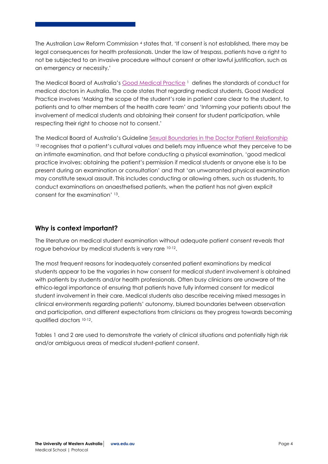The Australian Law Reform Commission <sup>4</sup> states that, 'If consent is not established, there may be legal consequences for health professionals. Under the law of trespass, patients have a right to not be subjected to an invasive procedure without consent or other lawful justification, such as an emergency or necessity.'

The Medical Board of Australia's [Good Medical Practice](https://www.medicalboard.gov.au/codes-guidelines-policies/code-of-conduct.aspx) <sup>1</sup> defines the standards of conduct for medical doctors in Australia. The code states that regarding medical students, Good Medical Practice involves 'Making the scope of the student's role in patient care clear to the student, to patients and to other members of the health care team' and 'Informing your patients about the involvement of medical students and obtaining their consent for student participation, while respecting their right to choose not to consent.'

The Medical Board of Australia's Guideline [Sexual Boundaries in the Doctor Patient Relationship](https://www.medicalboard.gov.au/codes-guidelines-policies/sexual-boundaries-guidelines.aspx) <sup>13</sup> recognises that a patient's cultural values and beliefs may influence what they perceive to be an intimate examination, and that before conducting a physical examination, 'good medical practice involves: obtaining the patient's permission if medical students or anyone else is to be present during an examination or consultation' and that 'an unwarranted physical examination may constitute sexual assault. This includes conducting or allowing others, such as students, to conduct examinations on anaesthetised patients, when the patient has not given explicit consent for the examination' <sup>13</sup>.

#### <span id="page-5-0"></span>**Why is context important?**

The literature on medical student examination without adequate patient consent reveals that rogue behaviour by medical students is very rare 10-12.

The most frequent reasons for inadequately consented patient examinations by medical students appear to be the vagaries in how consent for medical student involvement is obtained with patients by students and/or health professionals. Often busy clinicians are unaware of the ethico-legal importance of ensuring that patients have fully informed consent for medical student involvement in their care. Medical students also describe receiving mixed messages in clinical environments regarding patients' autonomy, blurred boundaries between observation and participation, and different expectations from clinicians as they progress towards becoming qualified doctors 10-12.

Tables 1 and 2 are used to demonstrate the variety of clinical situations and potentially high risk and/or ambiguous areas of medical student-patient consent.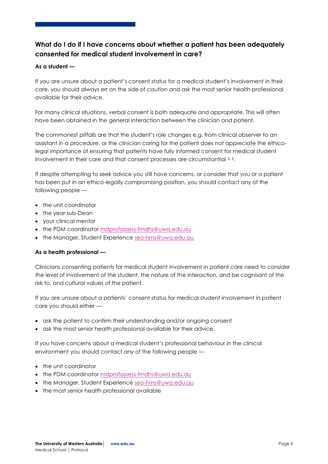## <span id="page-6-0"></span>**What do I do if I have concerns about whether a patient has been adequately consented for medical student involvement in care?**

#### **As a student —**

If you are unsure about a patient's consent status for a medical student's involvement in their care, you should always err on the side of caution and ask the most senior health professional available for their advice.

For many clinical situations, verbal consent is both adequate and appropriate. This will often have been obtained in the general interaction between the clinician and patient.

The commonest pitfalls are that the student's role changes e.g. from clinical observer to an assistant in a procedure, or the clinician caring for the patient does not appreciate the ethicolegal importance of ensuring that patients have fully informed consent for medical student involvement in their care and that consent processes are circumstantial 2,3.

If despite attempting to seek advice you still have concerns, or consider that you or a patient has been put in an ethico-legally compromising position, you should contact any of the following people —

- the unit coordinator
- the year sub-Dean
- your clinical mentor
- the PDM coordinator mdprofassess-fmdhs@uwa.edu.au
- the Manager, Student Experience [seo-hms@uwa.edu.au](mailto:seo-hms@uwa.edu.au)

#### **As a health professional —**

Clinicians consenting patients for medical student involvement in patient care need to consider the level of involvement of the student, the nature of the interaction, and be cognisant of the risk to, and cultural values of the patient.

If you are unsure about a patients' consent status for medical student involvement in patient care you should either —

- ask the patient to confirm their understanding and/or ongoing consent
- ask the most senior health professional available for their advice.

If you have concerns about a medical student's professional behaviour in the clinical environment you should contact any of the following people —

- the unit coordinator
- the PDM coordinator [mdprofassess-fmdhs@uwa.edu.au](mailto:mdprofassess-fmdhs@uwa.edu.au)
- the Manager, Student Experience [seo-hms@uwa.edu.au](mailto:seo-hms@uwa.edu.au)
- the most senior health professional available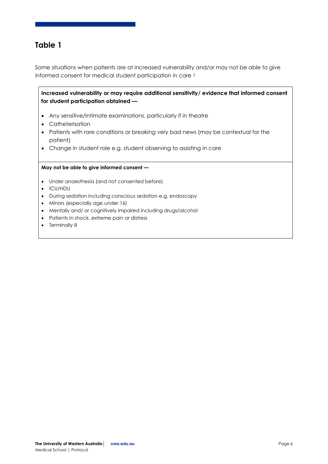## <span id="page-7-0"></span>**Table 1**

Some situations when patients are at increased vulnerability and/or may not be able to give informed consent for medical student participation in care <sup>2</sup>

**Increased vulnerability or may require additional sensitivity/ evidence that informed consent for student participation obtained —**

- Any sensitive/intimate examinations, particularly if in theatre
- Catheterisation
- Patients with rare conditions or breaking very bad news (may be contextual for the patient)
- Change in student role e.g. student observing to assisting in care

#### **May not be able to give informed consent —**

- Under anaesthesia (and not consented before)
- ICU/HDU
- During sedation including conscious sedation e.g. endoscopy
- Minors (especially age under 16)
- Mentally and/ or cognitively impaired including drugs/alcohol
- Patients in shock, extreme pain or distress
- Terminally ill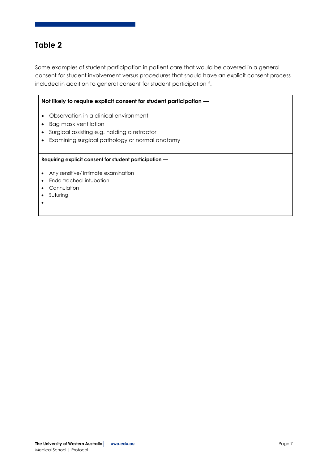## <span id="page-8-0"></span>**Table 2**

Some examples of student participation in patient care that would be covered in a general consent for student involvement versus procedures that should have an explicit consent process included in addition to general consent for student participation 2.

#### **Not likely to require explicit consent for student participation —**

- Observation in a clinical environment
- Bag mask ventilation
- Surgical assisting e.g. holding a retractor
- Examining surgical pathology or normal anatomy

#### **Requiring explicit consent for student participation —**

- Any sensitive/ intimate examination
- Endo-tracheal intubation
- Cannulation
- Suturing
- $\bullet$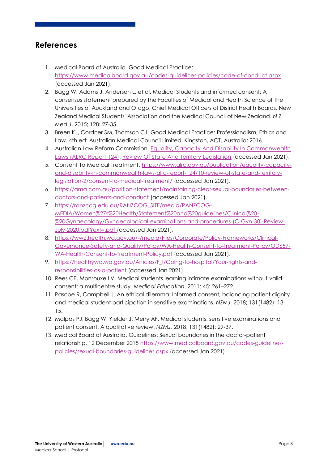### <span id="page-9-0"></span>**References**

- 1. Medical Board of Australia. Good Medical Practice: <https://www.medicalboard.gov.au/codes-guidelines-policies/code-of-conduct.aspx> (accessed Jan 2021).
- 2. Bagg W, Adams J, Anderson L. et al. Medical Students and informed consent: A consensus statement prepared by the Faculties of Medical and Health Science of the Universities of Auckland and Otago, Chief Medical Officers of District Health Boards, New Zealand Medical Students' Association and the Medical Council of New Zealand. *N Z Med J*. 2015; 128: 27-35.
- 3. Breen KJ, Cordner SM, Thomson CJ. Good Medical Practice: Professionalism, Ethics and Law. 4th ed: Australian Medical Council Limited, Kingston, ACT, Australia; 2016.
- 4. Australian Law Reform Commission. [Equality, Capacity And Disability In Commonwealth](https://www.alrc.gov.au/publication/equality-capacity-and-disability-in-commonwealth-laws-alrc-report-124/)  [Laws \(ALRC Report 124\).](https://www.alrc.gov.au/publication/equality-capacity-and-disability-in-commonwealth-laws-alrc-report-124/) [Review Of State And Territory Legislation](https://www.alrc.gov.au/publication/equality-capacity-and-disability-in-commonwealth-laws-alrc-report-124/10-review-of-state-and-territory-legislation-2/) (accessed Jan 2021).
- 5. Consent To Medical Treatment. [https://www.alrc.gov.au/publication/equality-capacity](https://www.alrc.gov.au/publication/equality-capacity-and-disability-in-commonwealth-laws-alrc-report-124/10-review-of-state-and-territory-legislation-2/consent-to-medical-treatment/)[and-disability-in-commonwealth-laws-alrc-report-124/10-review-of-state-and-territory](https://www.alrc.gov.au/publication/equality-capacity-and-disability-in-commonwealth-laws-alrc-report-124/10-review-of-state-and-territory-legislation-2/consent-to-medical-treatment/)[legislation-2/consent-to-medical-treatment/](https://www.alrc.gov.au/publication/equality-capacity-and-disability-in-commonwealth-laws-alrc-report-124/10-review-of-state-and-territory-legislation-2/consent-to-medical-treatment/) (accessed Jan 2021).
- 6. [https://ama.com.au/position-statement/maintaining-clear-sexual-boundaries-between](https://urldefense.com/v3/__https:/aus01.safelinks.protection.outlook.com/?url=https*3A*2F*2Fama.com.au*2Fposition-statement*2Fmaintaining-clear-sexual-boundaries-between-doctors-and-patients-and-conduct&data=04*7C01*7Chelen.wilcox*40uwa.edu.au*7Cc54d69992a70455638ad08d8b92eba75*7C05894af0cb2846d8871674cdb46e2226*7C1*7C0*7C637462957646510260*7CUnknown*7CTWFpbGZsb3d8eyJWIjoiMC4wLjAwMDAiLCJQIjoiV2luMzIiLCJBTiI6Ik1haWwiLCJXVCI6Mn0*3D*7C1000&sdata=ikunn3dIm*2FU4GAyOqmZ1VKRUYK9onG6e0GOwNrVIhjY*3D&reserved=0__;JSUlJSUlJSUlJSUlJSUlJSUlJQ!!Lav448XFWxY!qeT_dDyREes_lCCAzlhLNd-WOnLAkD9fuuaNiLulGAbQN5U0Iw-fHZFB5YRBcv1bQX6NdUNm$)[doctors-and-patients-and-conduct](https://urldefense.com/v3/__https:/aus01.safelinks.protection.outlook.com/?url=https*3A*2F*2Fama.com.au*2Fposition-statement*2Fmaintaining-clear-sexual-boundaries-between-doctors-and-patients-and-conduct&data=04*7C01*7Chelen.wilcox*40uwa.edu.au*7Cc54d69992a70455638ad08d8b92eba75*7C05894af0cb2846d8871674cdb46e2226*7C1*7C0*7C637462957646510260*7CUnknown*7CTWFpbGZsb3d8eyJWIjoiMC4wLjAwMDAiLCJQIjoiV2luMzIiLCJBTiI6Ik1haWwiLCJXVCI6Mn0*3D*7C1000&sdata=ikunn3dIm*2FU4GAyOqmZ1VKRUYK9onG6e0GOwNrVIhjY*3D&reserved=0__;JSUlJSUlJSUlJSUlJSUlJSUlJQ!!Lav448XFWxY!qeT_dDyREes_lCCAzlhLNd-WOnLAkD9fuuaNiLulGAbQN5U0Iw-fHZFB5YRBcv1bQX6NdUNm$) (accessed Jan 2021).
- 7. [https://ranzcog.edu.au/RANZCOG\\_SITE/media/RANZCOG-](https://urldefense.com/v3/__https:/aus01.safelinks.protection.outlook.com/?url=https*3A*2F*2Franzcog.edu.au*2FRANZCOG_SITE*2Fmedia*2FRANZCOG-MEDIA*2FWomen*2527s*2520Health*2FStatement*2520and*2520guidelines*2FClinical*2520-*2520Gynaecology*2FGynaecological-examinations-and-procedures-(C-Gyn-30)-Review-July-2020.pdf*3Fext*3D.pdf&data=04*7C01*7Chelen.wilcox*40uwa.edu.au*7Cc54d69992a70455638ad08d8b92eba75*7C05894af0cb2846d8871674cdb46e2226*7C1*7C0*7C637462957646520256*7CUnknown*7CTWFpbGZsb3d8eyJWIjoiMC4wLjAwMDAiLCJQIjoiV2luMzIiLCJBTiI6Ik1haWwiLCJXVCI6Mn0*3D*7C1000&sdata=Blm2l3xajdofb*2BGROj87RUoB3gS6ngRveFycOIQ9ta8*3D&reserved=0__;JSUlJSUlJSUlJSUlJSUlJSUlJSUlJSUlJSUlJSUlJSU!!Lav448XFWxY!qeT_dDyREes_lCCAzlhLNd-WOnLAkD9fuuaNiLulGAbQN5U0Iw-fHZFB5YRBcv1bQTkEE1g8$)[MEDIA/Women%27s%20Health/Statement%20and%20guidelines/Clinical%20-](https://urldefense.com/v3/__https:/aus01.safelinks.protection.outlook.com/?url=https*3A*2F*2Franzcog.edu.au*2FRANZCOG_SITE*2Fmedia*2FRANZCOG-MEDIA*2FWomen*2527s*2520Health*2FStatement*2520and*2520guidelines*2FClinical*2520-*2520Gynaecology*2FGynaecological-examinations-and-procedures-(C-Gyn-30)-Review-July-2020.pdf*3Fext*3D.pdf&data=04*7C01*7Chelen.wilcox*40uwa.edu.au*7Cc54d69992a70455638ad08d8b92eba75*7C05894af0cb2846d8871674cdb46e2226*7C1*7C0*7C637462957646520256*7CUnknown*7CTWFpbGZsb3d8eyJWIjoiMC4wLjAwMDAiLCJQIjoiV2luMzIiLCJBTiI6Ik1haWwiLCJXVCI6Mn0*3D*7C1000&sdata=Blm2l3xajdofb*2BGROj87RUoB3gS6ngRveFycOIQ9ta8*3D&reserved=0__;JSUlJSUlJSUlJSUlJSUlJSUlJSUlJSUlJSUlJSUlJSU!!Lav448XFWxY!qeT_dDyREes_lCCAzlhLNd-WOnLAkD9fuuaNiLulGAbQN5U0Iw-fHZFB5YRBcv1bQTkEE1g8$) [%20Gynaecology/Gynaecological-examinations-and-procedures-\(C-Gyn-30\)-Review-](https://urldefense.com/v3/__https:/aus01.safelinks.protection.outlook.com/?url=https*3A*2F*2Franzcog.edu.au*2FRANZCOG_SITE*2Fmedia*2FRANZCOG-MEDIA*2FWomen*2527s*2520Health*2FStatement*2520and*2520guidelines*2FClinical*2520-*2520Gynaecology*2FGynaecological-examinations-and-procedures-(C-Gyn-30)-Review-July-2020.pdf*3Fext*3D.pdf&data=04*7C01*7Chelen.wilcox*40uwa.edu.au*7Cc54d69992a70455638ad08d8b92eba75*7C05894af0cb2846d8871674cdb46e2226*7C1*7C0*7C637462957646520256*7CUnknown*7CTWFpbGZsb3d8eyJWIjoiMC4wLjAwMDAiLCJQIjoiV2luMzIiLCJBTiI6Ik1haWwiLCJXVCI6Mn0*3D*7C1000&sdata=Blm2l3xajdofb*2BGROj87RUoB3gS6ngRveFycOIQ9ta8*3D&reserved=0__;JSUlJSUlJSUlJSUlJSUlJSUlJSUlJSUlJSUlJSUlJSU!!Lav448XFWxY!qeT_dDyREes_lCCAzlhLNd-WOnLAkD9fuuaNiLulGAbQN5U0Iw-fHZFB5YRBcv1bQTkEE1g8$)[July-2020.pdf?ext=.pdf](https://urldefense.com/v3/__https:/aus01.safelinks.protection.outlook.com/?url=https*3A*2F*2Franzcog.edu.au*2FRANZCOG_SITE*2Fmedia*2FRANZCOG-MEDIA*2FWomen*2527s*2520Health*2FStatement*2520and*2520guidelines*2FClinical*2520-*2520Gynaecology*2FGynaecological-examinations-and-procedures-(C-Gyn-30)-Review-July-2020.pdf*3Fext*3D.pdf&data=04*7C01*7Chelen.wilcox*40uwa.edu.au*7Cc54d69992a70455638ad08d8b92eba75*7C05894af0cb2846d8871674cdb46e2226*7C1*7C0*7C637462957646520256*7CUnknown*7CTWFpbGZsb3d8eyJWIjoiMC4wLjAwMDAiLCJQIjoiV2luMzIiLCJBTiI6Ik1haWwiLCJXVCI6Mn0*3D*7C1000&sdata=Blm2l3xajdofb*2BGROj87RUoB3gS6ngRveFycOIQ9ta8*3D&reserved=0__;JSUlJSUlJSUlJSUlJSUlJSUlJSUlJSUlJSUlJSUlJSU!!Lav448XFWxY!qeT_dDyREes_lCCAzlhLNd-WOnLAkD9fuuaNiLulGAbQN5U0Iw-fHZFB5YRBcv1bQTkEE1g8$) (accessed Jan 2021).
- 8. [https://ww2.health.wa.gov.au/-/media/Files/Corporate/Policy-Frameworks/Clinical-](https://ww2.health.wa.gov.au/-/media/Files/Corporate/Policy-Frameworks/Clinical-Governance-Safety-and-Quality/Policy/WA-Health-Consent-to-Treatment-Policy/OD657-WA-Health-Consent-to-Treatment-Policy.pdf)[Governance-Safety-and-Quality/Policy/WA-Health-Consent-to-Treatment-Policy/OD657-](https://ww2.health.wa.gov.au/-/media/Files/Corporate/Policy-Frameworks/Clinical-Governance-Safety-and-Quality/Policy/WA-Health-Consent-to-Treatment-Policy/OD657-WA-Health-Consent-to-Treatment-Policy.pdf) [WA-Health-Consent-to-Treatment-Policy.pdf](https://ww2.health.wa.gov.au/-/media/Files/Corporate/Policy-Frameworks/Clinical-Governance-Safety-and-Quality/Policy/WA-Health-Consent-to-Treatment-Policy/OD657-WA-Health-Consent-to-Treatment-Policy.pdf) (accessed Jan 2021).
- 9. https://healthywa.wa.gov.au/Articles/F I/Going-to-hospital/Your-rights-and[responsibilities-as-a-patient](https://healthywa.wa.gov.au/Articles/F_I/Going-to-hospital/Your-rights-and-responsibilities-as-a-patient) (accessed Jan 2021).
- 10. Rees CE, Monrouxe LV. Medical students learning intimate examinations without valid consent: a multicentre study. *Medical Education*. 2011: 45: 261–272.
- 11. Pascoe R, Campbell J. An ethical dilemma: Informed consent, balancing patient dignity and medical student participation in sensitive examinations. *NZMJ.* 2018; 131(1482): 13- 15.
- 12. Malpas PJ, Bagg W, Yielder J, Merry AF. Medical students, sensitive examinations and patient consent: A qualitative review. *NZMJ.* 2018; 131(1482): 29-37.
- 13. Medical Board of Australia. Guidelines: Sexual boundaries in the doctor-patient relationship. 12 December 2018 [https://www.medicalboard.gov.au/codes-guidelines](https://www.medicalboard.gov.au/codes-guidelines-policies/sexual-boundaries-guidelines.aspx)[policies/sexual-boundaries-guidelines.aspx](https://www.medicalboard.gov.au/codes-guidelines-policies/sexual-boundaries-guidelines.aspx) (accessed Jan 2021).